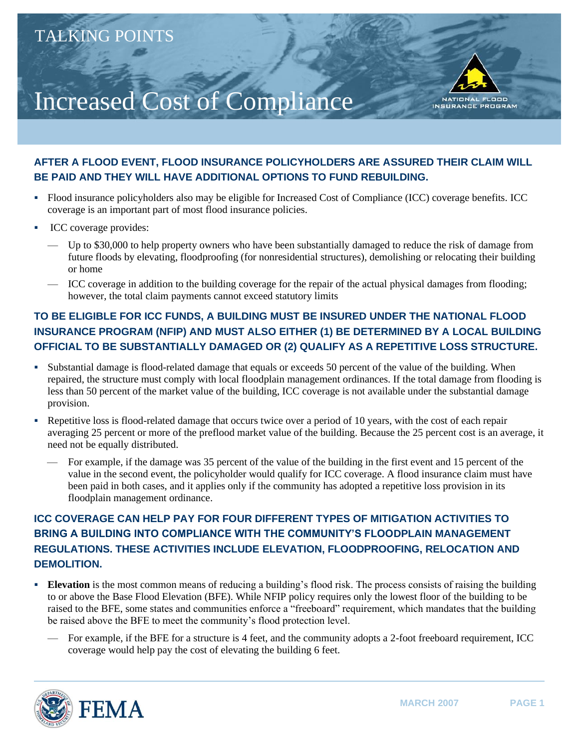# Increased Cost of Compliance



### **AFTER A FLOOD EVENT, FLOOD INSURANCE POLICYHOLDERS ARE ASSURED THEIR CLAIM WILL BE PAID AND THEY WILL HAVE ADDITIONAL OPTIONS TO FUND REBUILDING.**

- Flood insurance policyholders also may be eligible for Increased Cost of Compliance (ICC) coverage benefits. ICC coverage is an important part of most flood insurance policies.
- ICC coverage provides:
	- Up to \$30,000 to help property owners who have been substantially damaged to reduce the risk of damage from future floods by elevating, floodproofing (for nonresidential structures), demolishing or relocating their building or home
	- ICC coverage in addition to the building coverage for the repair of the actual physical damages from flooding; however, the total claim payments cannot exceed statutory limits

# **TO BE ELIGIBLE FOR ICC FUNDS, A BUILDING MUST BE INSURED UNDER THE NATIONAL FLOOD INSURANCE PROGRAM (NFIP) AND MUST ALSO EITHER (1) BE DETERMINED BY A LOCAL BUILDING OFFICIAL TO BE SUBSTANTIALLY DAMAGED OR (2) QUALIFY AS A REPETITIVE LOSS STRUCTURE.**

- Substantial damage is flood-related damage that equals or exceeds 50 percent of the value of the building. When repaired, the structure must comply with local floodplain management ordinances. If the total damage from flooding is less than 50 percent of the market value of the building, ICC coverage is not available under the substantial damage provision.
- Repetitive loss is flood-related damage that occurs twice over a period of 10 years, with the cost of each repair averaging 25 percent or more of the preflood market value of the building. Because the 25 percent cost is an average, it need not be equally distributed.
	- For example, if the damage was 35 percent of the value of the building in the first event and 15 percent of the value in the second event, the policyholder would qualify for ICC coverage. A flood insurance claim must have been paid in both cases, and it applies only if the community has adopted a repetitive loss provision in its floodplain management ordinance.

## **ICC COVERAGE CAN HELP PAY FOR FOUR DIFFERENT TYPES OF MITIGATION ACTIVITIES TO BRING A BUILDING INTO COMPLIANCE WITH THE COMMUNITY'S FLOODPLAIN MANAGEMENT REGULATIONS. THESE ACTIVITIES INCLUDE ELEVATION, FLOODPROOFING, RELOCATION AND DEMOLITION.**

- **Elevation** is the most common means of reducing a building's flood risk. The process consists of raising the building to or above the Base Flood Elevation (BFE). While NFIP policy requires only the lowest floor of the building to be raised to the BFE, some states and communities enforce a "freeboard" requirement, which mandates that the building be raised above the BFE to meet the community's flood protection level.
	- For example, if the BFE for a structure is 4 feet, and the community adopts a 2-foot freeboard requirement, ICC coverage would help pay the cost of elevating the building 6 feet.